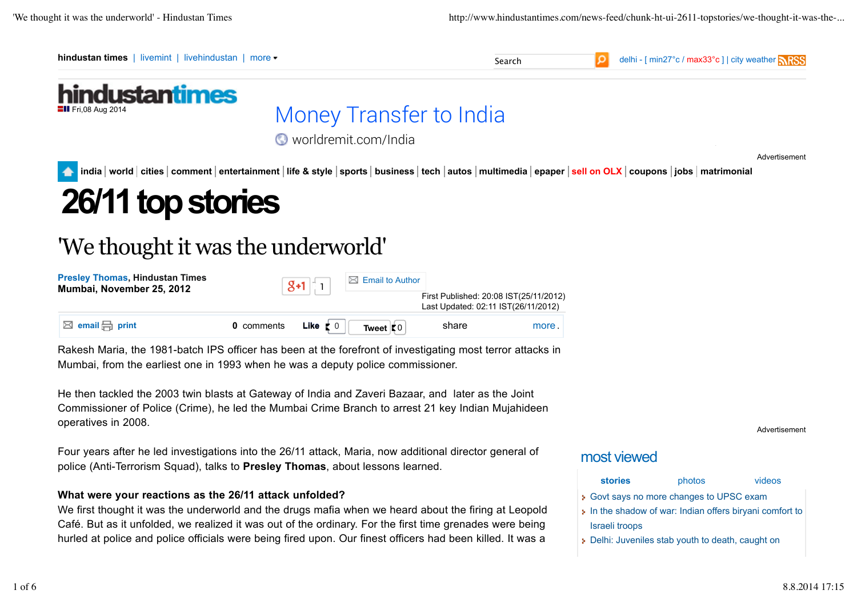

# 'We thought it was the underworld'

**Presley Thomas, Hindustan Times Presley I homas, Hindustan Times**<br> **Mumbai, November 25, 2012** 1  $\boxed{8+1}$  1  $\boxed{1}$  Email to Author First Published: 20:08 IST(25/11/2012) Last Updated: 02:11 IST(26/11/2012) **0** comments **Like**  $\mathbf{z}$  o **Tweet**  $\mathbf{z}$  o **example 1** share more more and the more in the more in the more of the more of the more of the more of the more of the more of the more of the more of the more of the more **Like**  $\mathbf{z} \circ \mathbf{z} = \mathbf{z} \cdot \mathbf{z}$  share share more.

Rakesh Maria, the 1981-batch IPS officer has been at the forefront of investigating most terror attacks in Mumbai, from the earliest one in 1993 when he was a deputy police commissioner.

He then tackled the 2003 twin blasts at Gateway of India and Zaveri Bazaar, and later as the Joint Commissioner of Police (Crime), he led the Mumbai Crime Branch to arrest 21 key Indian Mujahideen operatives in 2008.

Four years after he led investigations into the 26/11 attack, Maria, now additional director general of police (Anti-Terrorism Squad), talks to **Presley Thomas**, about lessons learned.

#### **What were your reactions as the 26/11 attack unfolded?**

We first thought it was the underworld and the drugs mafia when we heard about the firing at Leopold Café. But as it unfolded, we realized it was out of the ordinary. For the first time grenades were being hurled at police and police officials were being fired upon. Our finest officers had been killed. It was a

Advertisement

# most viewed

| <b>stories</b>                                         | photos | videos |
|--------------------------------------------------------|--------|--------|
| • Govt says no more changes to UPSC exam               |        |        |
| In the shadow of war: Indian offers biryani comfort to |        |        |
| Israeli troops                                         |        |        |
| Delhi: Juveniles stab youth to death, caught on        |        |        |
|                                                        |        |        |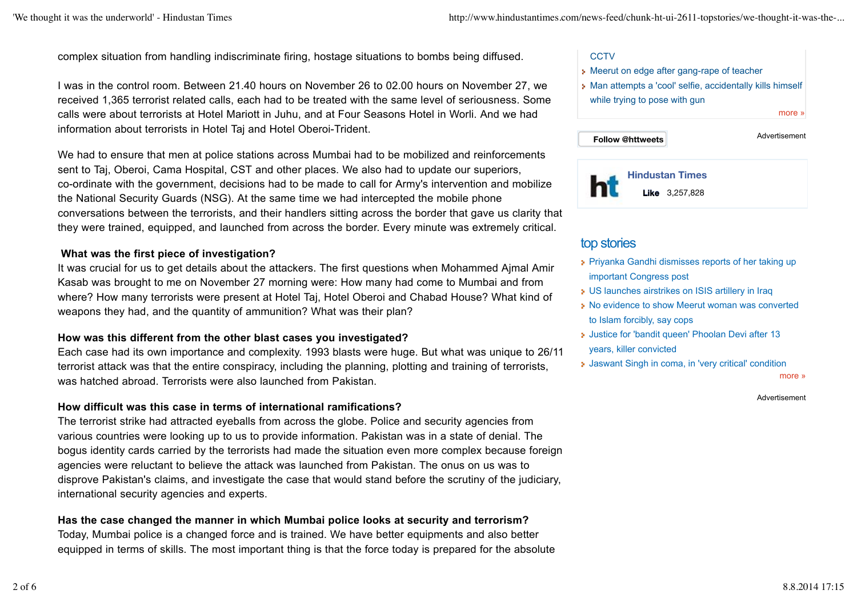complex situation from handling indiscriminate firing, hostage situations to bombs being diffused.

I was in the control room. Between 21.40 hours on November 26 to 02.00 hours on November 27, we received 1,365 terrorist related calls, each had to be treated with the same level of seriousness. Some calls were about terrorists at Hotel Mariott in Juhu, and at Four Seasons Hotel in Worli. And we had information about terrorists in Hotel Taj and Hotel Oberoi-Trident.

We had to ensure that men at police stations across Mumbai had to be mobilized and reinforcements sent to Taj, Oberoi, Cama Hospital, CST and other places. We also had to update our superiors, co-ordinate with the government, decisions had to be made to call for Army's intervention and mobilize the National Security Guards (NSG). At the same time we had intercepted the mobile phone conversations between the terrorists, and their handlers sitting across the border that gave us clarity that they were trained, equipped, and launched from across the border. Every minute was extremely critical.

#### **What was the first piece of investigation?**

It was crucial for us to get details about the attackers. The first questions when Mohammed Ajmal Amir Kasab was brought to me on November 27 morning were: How many had come to Mumbai and from where? How many terrorists were present at Hotel Taj, Hotel Oberoi and Chabad House? What kind of weapons they had, and the quantity of ammunition? What was their plan?

#### **How was this different from the other blast cases you investigated?**

Each case had its own importance and complexity. 1993 blasts were huge. But what was unique to 26/11 terrorist attack was that the entire conspiracy, including the planning, plotting and training of terrorists, was hatched abroad. Terrorists were also launched from Pakistan.

#### **How difficult was this case in terms of international ramifications?**

The terrorist strike had attracted eyeballs from across the globe. Police and security agencies from various countries were looking up to us to provide information. Pakistan was in a state of denial. The bogus identity cards carried by the terrorists had made the situation even more complex because foreign agencies were reluctant to believe the attack was launched from Pakistan. The onus on us was to disprove Pakistan's claims, and investigate the case that would stand before the scrutiny of the judiciary, international security agencies and experts.

#### **Has the case changed the manner in which Mumbai police looks at security and terrorism?**

Today, Mumbai police is a changed force and is trained. We have better equipments and also better equipped in terms of skills. The most important thing is that the force today is prepared for the absolute

#### **CCTV**

- **Meerut on edge after gang-rape of teacher**
- Man attempts a 'cool' selfie, accidentally kills himself while trying to pose with gun

more »



# top stories

- Priyanka Gandhi dismisses reports of her taking up important Congress post
- US launches airstrikes on ISIS artillery in Iraq
- No evidence to show Meerut woman was converted to Islam forcibly, say cops
- **Justice for 'bandit queen' Phoolan Devi after 13** years, killer convicted
- Jaswant Singh in coma, in 'very critical' condition

more »

#### Advertisement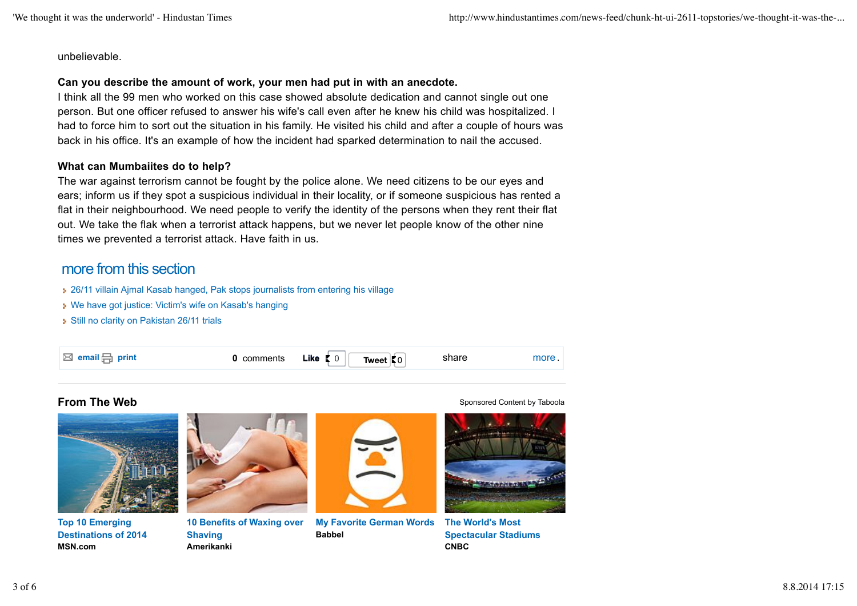unbelievable.

#### **Can you describe the amount of work, your men had put in with an anecdote.**

I think all the 99 men who worked on this case showed absolute dedication and cannot single out one person. But one officer refused to answer his wife's call even after he knew his child was hospitalized. I had to force him to sort out the situation in his family. He visited his child and after a couple of hours was back in his office. It's an example of how the incident had sparked determination to nail the accused.

#### **What can Mumbaiites do to help?**

The war against terrorism cannot be fought by the police alone. We need citizens to be our eyes and ears; inform us if they spot a suspicious individual in their locality, or if someone suspicious has rented a flat in their neighbourhood. We need people to verify the identity of the persons when they rent their flat out. We take the flak when a terrorist attack happens, but we never let people know of the other nine times we prevented a terrorist attack. Have faith in us.

# more from this section

26/11 villain Ajmal Kasab hanged, Pak stops journalists from entering his village

- We have got justice: Victim's wife on Kasab's hanging
- Still no clarity on Pakistan 26/11 trials





**Top 10 Emerging Destinations of 2014 MSN.com**



**10 Benefits of Waxing over Shaving Amerikanki**



**My Favorite German Words Babbel**

**From The Web** Sponsored Content by Taboola



**The World's Most Spectacular Stadiums CNBC**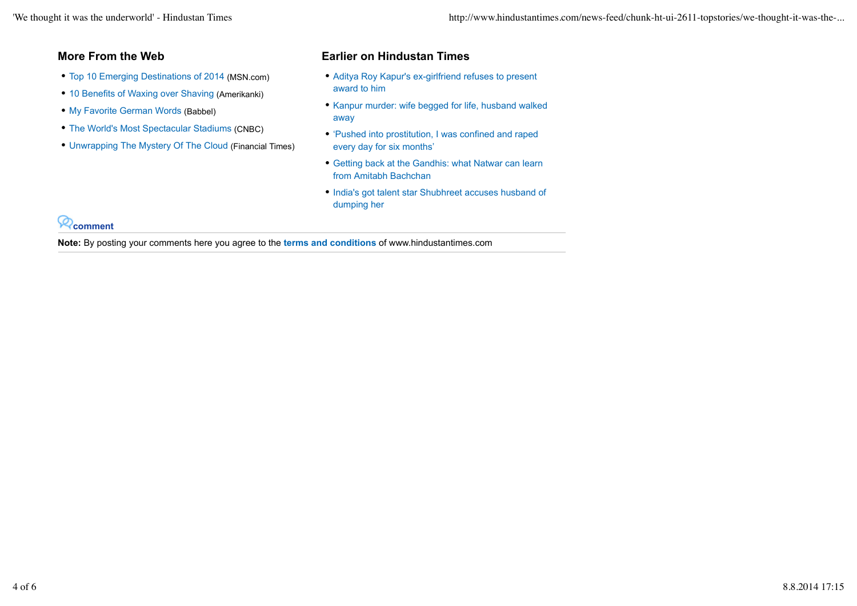- Top 10 Emerging Destinations of 2014 (MSN.com)
- 10 Benefits of Waxing over Shaving (Amerikanki)
- My Favorite German Words (Babbel)
- The World's Most Spectacular Stadiums (CNBC)
- Unwrapping The Mystery Of The Cloud (Financial Times)

### **More From the Web Earlier on Hindustan Times**

- Aditya Roy Kapur's ex-girlfriend refuses to present award to him
- Kanpur murder: wife begged for life, husband walked away
- 'Pushed into prostitution, I was confined and raped every day for six months'
- Getting back at the Gandhis: what Natwar can learn from Amitabh Bachchan
- India's got talent star Shubhreet accuses husband of dumping her

**comment**

**Note:** By posting your comments here you agree to the **terms and conditions** of www.hindustantimes.com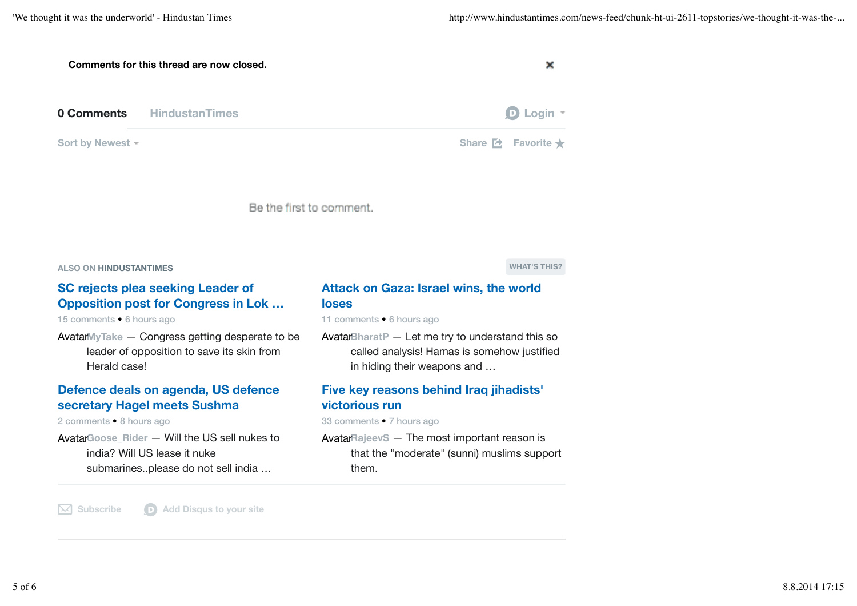| Comments for this thread are now closed.                                                                            |                                                                                                                                                                                                                               |  |
|---------------------------------------------------------------------------------------------------------------------|-------------------------------------------------------------------------------------------------------------------------------------------------------------------------------------------------------------------------------|--|
| 0 Comments<br><b>HindustanTimes</b>                                                                                 | $\mathbf{D}$ Login $\mathbf{F}$                                                                                                                                                                                               |  |
| Sort by Newest -                                                                                                    | Share <b>2</b> Favorite $\bigstar$                                                                                                                                                                                            |  |
|                                                                                                                     | Be the first to comment.                                                                                                                                                                                                      |  |
| <b>ALSO ON HINDUSTANTIMES</b>                                                                                       | <b>WHAT'S THIS?</b>                                                                                                                                                                                                           |  |
| <b>SC rejects plea seeking Leader of</b><br><b>Opposition post for Congress in Lok</b><br>15 comments • 6 hours ago | <b>Attack on Gaza: Israel wins, the world</b><br><b>loses</b><br>11 comments • 6 hours ago                                                                                                                                    |  |
| As substitute that $\bigcap_{n=1}^{\infty}$ is a substantial conditional definition of $\bigcap_{n=1}^{\infty}$     | According to the contract of the state of the contract of the contract of the contract of the contract of the contract of the contract of the contract of the contract of the contract of the contract of the contract of the |  |

Avatar**MyTake** — Congress getting desperate to be leader of opposition to save its skin from Herald case!

#### **Defence deals on agenda, US defence secretary Hagel meets Sushma**

2 comments • 8 hours ago

Avatar**Goose\_Rider** — Will the US sell nukes to india? Will US lease it nuke submarines..please do not sell india …

Avatar**BharatP** — Let me try to understand this so called analysis! Hamas is somehow justified in hiding their weapons and …

### **Five key reasons behind Iraq jihadists' victorious run**

33 comments • 7 hours ago

Avatar**RajeevS** — The most important reason is that the "moderate" (sunni) muslims support them.

 $\boxed{\smash{\times}}$  **Subscribe D** Add Disqus to your site